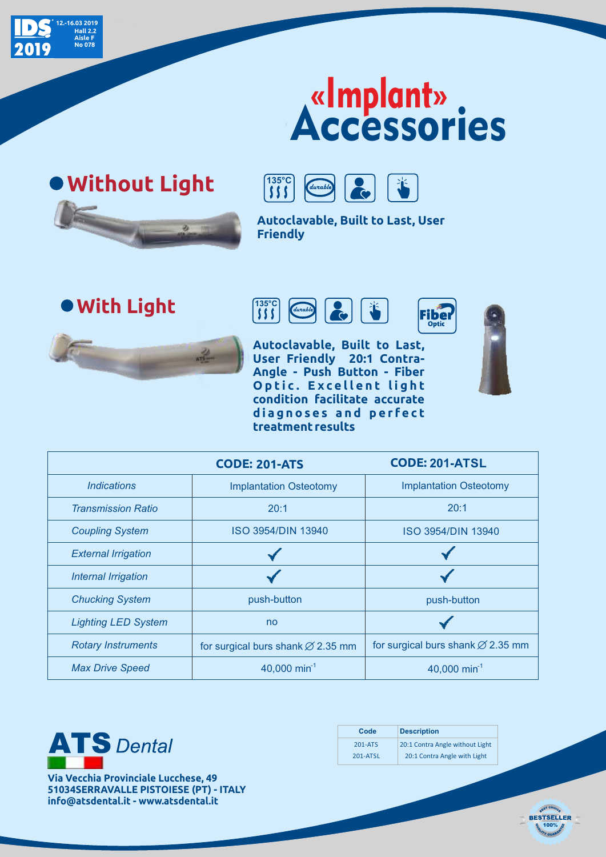

## Accessories «Implant»





**Autoclavable, Built to Last, User Friendly**

**With Light <sup>s</sup> <sup>s</sup> <sup>s</sup>**



**Optic Autoclavable, Built to Last, User Friendly 20:1 Contra-Angle - Push Button - Fiber O p t i c . E x c e l l e n t l i g h t condition facilitate accurate d i a g n o s e s a n d p e r f e c t** 



|                                  | <b>CODE: 201-ATS</b>                          | <b>CODE: 201-ATSL</b>                         |
|----------------------------------|-----------------------------------------------|-----------------------------------------------|
| <i><u><b>Indications</b></u></i> | <b>Implantation Osteotomy</b>                 | <b>Implantation Osteotomy</b>                 |
| <b>Transmission Ratio</b>        | 20:1                                          | 20:1                                          |
| <b>Coupling System</b>           | ISO 3954/DIN 13940                            | ISO 3954/DIN 13940                            |
| <b>External Irrigation</b>       |                                               |                                               |
| Internal Irrigation              |                                               |                                               |
| <b>Chucking System</b>           | push-button                                   | push-button                                   |
| <b>Lighting LED System</b>       | no                                            |                                               |
| <b>Rotary Instruments</b>        | for surgical burs shank $\varnothing$ 2.35 mm | for surgical burs shank $\varnothing$ 2.35 mm |
| <b>Max Drive Speed</b>           | 40,000 min <sup>-1</sup>                      | 40,000 min <sup>-1</sup>                      |

**treatment results**



**Via Vecchia Provinciale Lucchese, 49 51034SERRAVALLE PISTOIESE (PT) - ITALY info@atsdental.it - www.atsdental.it**

| Code     | <b>Description</b>              |
|----------|---------------------------------|
| 201-ATS  | 20:1 Contra Angle without Light |
| 201-ATSL | 20:1 Contra Angle with Light    |

100%

BEST CHOICE **BESTSELLER**